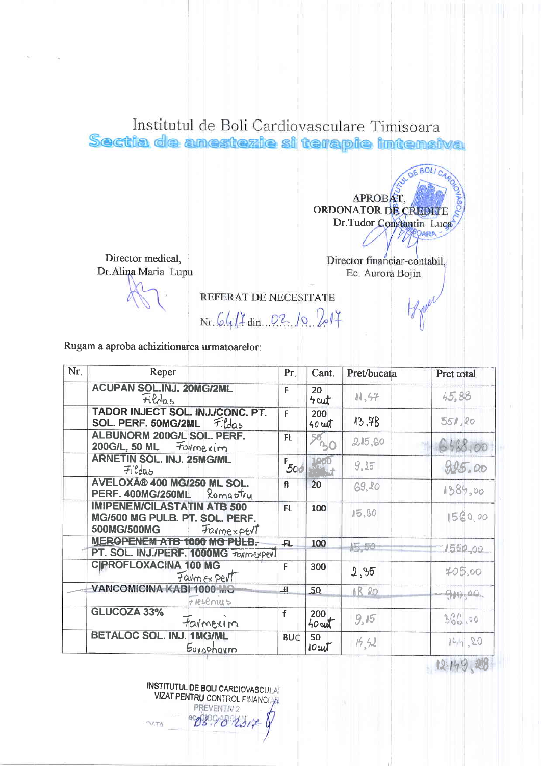Institutul de Boli Cardiovasculare Timisoara Sectia de anestezie si terapie intensiva

> APROBAT. ORDONATOR DE CREDITE Dr.Tudor Constantin Luca **ARA**

 $E$  BOI

Director medical, Dr.Alina Maria Lupu

Director financiar-contabil, Ec. Aurora Bojin

REFERAT DE NECESITATE

 $Nr.64/7 \dim .02.10.2017$ 

Rugam a aproba achizitionarea urmatoarelor:

| Nr. | Reper                                                                                             | Pr.          | Cant.           | Pret/bucata | Pret total   |
|-----|---------------------------------------------------------------------------------------------------|--------------|-----------------|-------------|--------------|
|     | <b>ACUPAN SOL.INJ. 20MG/2ML</b><br>Fildas                                                         | F            | 20<br>$4$ cut   | 11,57       | 45,88        |
|     | TADOR INJECT SOL. INJ./CONC. PT.<br>SOL. PERF. 50MG/2ML<br>Fildas                                 | F            | 200<br>$40$ cut | 13,78       | 551,80       |
|     | ALBUNORM 200G/L SOL. PERF.<br>200G/L, 50 ML Formexim                                              | FL.          | 50              | 215,60      | 6468.00      |
|     | <b>ARNETIN SOL. INJ. 25MG/ML</b><br><b>Fildas</b>                                                 | $F_{500}$    |                 | 9.15        | 9.95.00      |
|     | AVELOXî 400 MG/250 ML SOL.<br>PERF. 400MG/250ML Romastru                                          | $\mathbf{f}$ | $\ddot{2}0$     | $-69,20$    | 1384,00      |
|     | <b>IMIPENEM/CILASTATIN ATB 500</b><br>MG/500 MG PULB. PT. SOL. PERF.<br>500MG/500MG<br>Farmexpert | F1           | 100             | 15,60       | 1560,00      |
|     | MEROPENEM ATB 1000 MG PULB.<br>PT. SOL. INJ./PERF. 1000MG Taymexperl                              | -FL          | 100             | 45,50       | 1550,00      |
|     | <b>CIPROFLOXACINA 100 MG</b><br>Favmex pert                                                       | F            | 300             | 2,95        | 405,00       |
|     | VANCOMICINA KABI 1000 MG<br>$H$ <i>R</i> sences                                                   | Ŀ            | 50              | $AB$ 20     | $-9 + 0 - 0$ |
|     | <b>GLUCOZA 33%</b><br>tarmexim                                                                    | f            | 200<br>$40$ cut | 9,15        | 366.00       |
|     | BETALOC SOL. INJ. 1MG/ML<br>Europhoum                                                             | <b>BUC</b>   | 50<br>$10$ cut  | 14,52       | 144.20       |

12149,28

INSTITUTUL DE BOLI CARDIOVASCULA VIZAT PENTRU CONTROL FINANCIA PREVENTIV 2  $23$  $1020$ **OATA**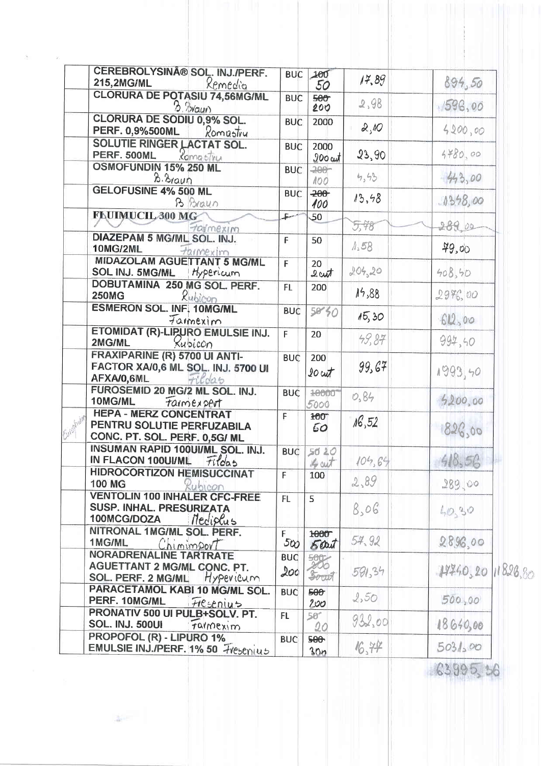|            | CEREBROLYSIN® SOL. INJ./PERF.<br><b>215,2MG/ML</b><br>Remedia                                                 | <b>BUC</b>        | 100<br>50                 | 17,89  | 894,50                |
|------------|---------------------------------------------------------------------------------------------------------------|-------------------|---------------------------|--------|-----------------------|
|            | <b>CLORURA DE POTASIU 74,56MG/ML</b><br>$B.$ <i>Pricurs</i>                                                   | <b>BUC</b>        | 500<br>200                | 2,98   | 1596,00               |
|            | CLORURA DE SODIU 0,9% SOL.<br><b>PERF. 0,9%500ML</b><br>Romastry                                              | <b>BUC</b>        | 2000                      | 2,10   | 4200,00               |
|            | <b>SOLUTIE RINGER LACTAT SOL.</b><br>PERF. 500ML<br><i><b>Koma stru</b></i>                                   | <b>BUC</b>        | 2000<br>$200$ cut         | 23,90  | 4780,00               |
|            | OSMOFUNDIN 15% 250 ML<br>B. Braun                                                                             | <b>BUC</b>        | $-200 -$<br>100           | 4,43   | 43,00                 |
|            | <b>GELOFUSINE 4% 500 ML</b><br>B Braun                                                                        | <b>BUC</b>        | $-200 -$<br>100           | 13, 58 | 13528,00              |
|            | FLUIMUCIL 300 MG<br>talmexim                                                                                  | L.                | 50                        | 5,78   | 289.00                |
|            | DIAZEPAM 5 MG/ML SOL. INJ.<br><b>10MG/2ML</b><br>taimexim                                                     | F                 | 50                        | 1.58   | 49,00                 |
|            | MIDAZOLAM AGUETTANT 5 MG/ML<br>SOL INJ. 5MG/ML<br>Hypericum                                                   | F                 | 20<br>$2$ cut             | 204,20 | 408,50                |
|            | DOBUTAMINA 250 MG SOL. PERF.<br>Rubicon<br><b>250MG</b>                                                       | FL                | 200                       | 14,88  | $29\%$ 00             |
|            | <b>ESMERON SOL. INF. 10MG/ML</b><br>Farmexim                                                                  | <b>BUC</b>        | 50'30                     | 15,30  | 612,00                |
|            | ETOMIDAT (R)-LIPURO EMULSIE INJ.<br>2MG/ML<br>Kubicon                                                         | F                 | 20                        | 49,87  | 994, 40               |
|            | FRAXIPARINE (R) 5700 UI ANTI-<br>FACTOR XA/0,6 ML SOL. INJ. 5700 UI<br>AFXA/0,6ML<br>rildas                   | <b>BUC</b>        | 200<br>$20$ cut           | 99,67  | 1993,40               |
|            | FUROSEMID 20 MG/2 ML SOL. INJ.<br>10MG/ML<br><i>Farmexpert</i>                                                | <b>BUC</b>        | 10000<br>5000             | 0, 84  | 5200,00               |
| Fulor Holm | <b>HEPA - MERZ CONCENTRAT</b><br>PENTRU SOLUTIE PERFUZABILA<br>CONC. PT. SOL. PERF. 0,5G/ ML                  | F                 | 100<br>50                 | 16,52  | 826,00                |
|            | INSUMAN RAPID 100UI/ML SOL. INJ.<br><b>IN FLACON 100UI/ML</b><br>Fildas                                       | <b>BUC</b>        | 5020<br>Lout              | 104,64 | 418,56                |
|            | <b>HIDROCORTIZON HEMISUCCINAT</b><br>100 MG<br>Kubicon                                                        | F                 | 100                       | 2,89   | 289,00                |
|            | <b>VENTOLIN 100 INHALER CFC-FREE</b><br><b>SUSP. INHAL. PRESURIZATA</b><br>100MCG/DOZA<br>Mediplus            | FL.               | 5                         | 8,06   | 40.30                 |
|            | NITRONAL 1MG/ML SOL. PERF.<br>1MG/ML<br>Chimimport                                                            | F.<br>500         | 1000 <sup>-</sup><br>Sout | 54.92  | 2896.00               |
|            | <b>NORADRENALINE TARTRATE</b><br><b>AGUETTANT 2 MG/ML CONC. PT.</b><br><b>SOL. PERF. 2 MG/ML</b><br>Hypevicum | <b>BUC</b><br>200 | 200<br>South              | 591,34 | 14740, 20<br>11828.80 |
|            | PARACETAMOL KABI 10 MG/ML SOL.<br>PERF. 10MG/ML<br>Fresenius                                                  | <b>BUC</b>        | 500<br>200                | 2,50   | 500,00                |
|            | PRONATIV 500 UI PULB+SOLV. PT.<br><b>SOL. INJ. 500UI</b><br>tainexim                                          | FL.               | 50 <sup>o</sup><br>20     | 932,00 | 18640,00              |
|            | PROPOFOL (R) - LIPURO 1%<br>EMULSIE INJ./PERF. 1% 50 Hesenius                                                 | <b>BUC</b>        | 500<br>300                | 16,74  | 5031500               |
|            |                                                                                                               |                   |                           |        |                       |

图片

 $63995,56$